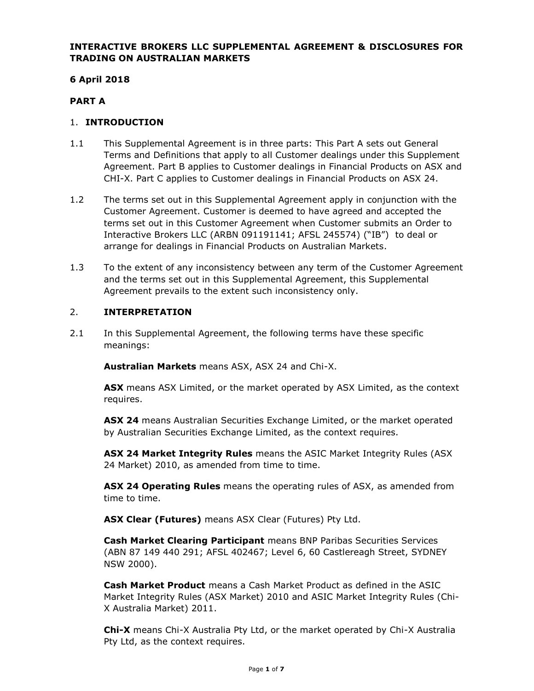## **INTERACTIVE BROKERS LLC SUPPLEMENTAL AGREEMENT & DISCLOSURES FOR TRADING ON AUSTRALIAN MARKETS**

# **6 April 2018**

# **PART A**

## 1. **INTRODUCTION**

- 1.1 This Supplemental Agreement is in three parts: This Part A sets out General Terms and Definitions that apply to all Customer dealings under this Supplement Agreement. Part B applies to Customer dealings in Financial Products on ASX and CHI-X. Part C applies to Customer dealings in Financial Products on ASX 24.
- 1.2 The terms set out in this Supplemental Agreement apply in conjunction with the Customer Agreement. Customer is deemed to have agreed and accepted the terms set out in this Customer Agreement when Customer submits an Order to Interactive Brokers LLC (ARBN 091191141; AFSL 245574) ("IB") to deal or arrange for dealings in Financial Products on Australian Markets.
- 1.3 To the extent of any inconsistency between any term of the Customer Agreement and the terms set out in this Supplemental Agreement, this Supplemental Agreement prevails to the extent such inconsistency only.

## 2. **INTERPRETATION**

2.1 In this Supplemental Agreement, the following terms have these specific meanings:

**Australian Markets** means ASX, ASX 24 and Chi-X.

**ASX** means ASX Limited, or the market operated by ASX Limited, as the context requires.

**ASX 24** means Australian Securities Exchange Limited, or the market operated by Australian Securities Exchange Limited, as the context requires.

**ASX 24 Market Integrity Rules** means the ASIC Market Integrity Rules (ASX 24 Market) 2010, as amended from time to time.

**ASX 24 Operating Rules** means the operating rules of ASX, as amended from time to time.

**ASX Clear (Futures)** means ASX Clear (Futures) Pty Ltd.

**Cash Market Clearing Participant** means BNP Paribas Securities Services (ABN 87 149 440 291; AFSL 402467; Level 6, 60 Castlereagh Street, SYDNEY NSW 2000).

**Cash Market Product** means a Cash Market Product as defined in the ASIC Market Integrity Rules (ASX Market) 2010 and ASIC Market Integrity Rules (Chi-X Australia Market) 2011.

**Chi-X** means Chi-X Australia Pty Ltd, or the market operated by Chi-X Australia Pty Ltd, as the context requires.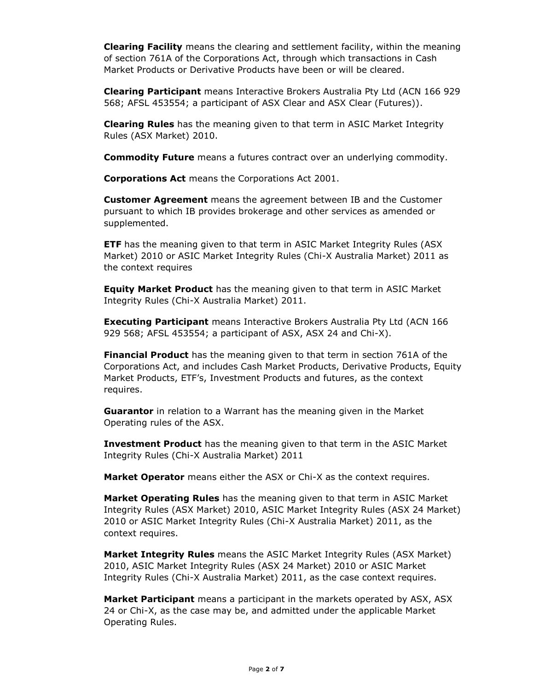**Clearing Facility** means the clearing and settlement facility, within the meaning of section 761A of the Corporations Act, through which transactions in Cash Market Products or Derivative Products have been or will be cleared.

**Clearing Participant** means Interactive Brokers Australia Pty Ltd (ACN 166 929 568; AFSL 453554; a participant of ASX Clear and ASX Clear (Futures)).

**Clearing Rules** has the meaning given to that term in ASIC Market Integrity Rules (ASX Market) 2010.

**Commodity Future** means a futures contract over an underlying commodity.

**Corporations Act** means the Corporations Act 2001.

**Customer Agreement** means the agreement between IB and the Customer pursuant to which IB provides brokerage and other services as amended or supplemented.

**ETF** has the meaning given to that term in ASIC Market Integrity Rules (ASX Market) 2010 or ASIC Market Integrity Rules (Chi-X Australia Market) 2011 as the context requires

**Equity Market Product** has the meaning given to that term in ASIC Market Integrity Rules (Chi-X Australia Market) 2011.

**Executing Participant** means Interactive Brokers Australia Pty Ltd (ACN 166 929 568; AFSL 453554; a participant of ASX, ASX 24 and Chi-X).

**Financial Product** has the meaning given to that term in section 761A of the Corporations Act, and includes Cash Market Products, Derivative Products, Equity Market Products, ETF's, Investment Products and futures, as the context requires.

**Guarantor** in relation to a Warrant has the meaning given in the Market Operating rules of the ASX.

**Investment Product** has the meaning given to that term in the ASIC Market Integrity Rules (Chi-X Australia Market) 2011

**Market Operator** means either the ASX or Chi-X as the context requires.

**Market Operating Rules** has the meaning given to that term in ASIC Market Integrity Rules (ASX Market) 2010, ASIC Market Integrity Rules (ASX 24 Market) 2010 or ASIC Market Integrity Rules (Chi-X Australia Market) 2011, as the context requires.

**Market Integrity Rules** means the ASIC Market Integrity Rules (ASX Market) 2010, ASIC Market Integrity Rules (ASX 24 Market) 2010 or ASIC Market Integrity Rules (Chi-X Australia Market) 2011, as the case context requires.

**Market Participant** means a participant in the markets operated by ASX, ASX 24 or Chi-X, as the case may be, and admitted under the applicable Market Operating Rules.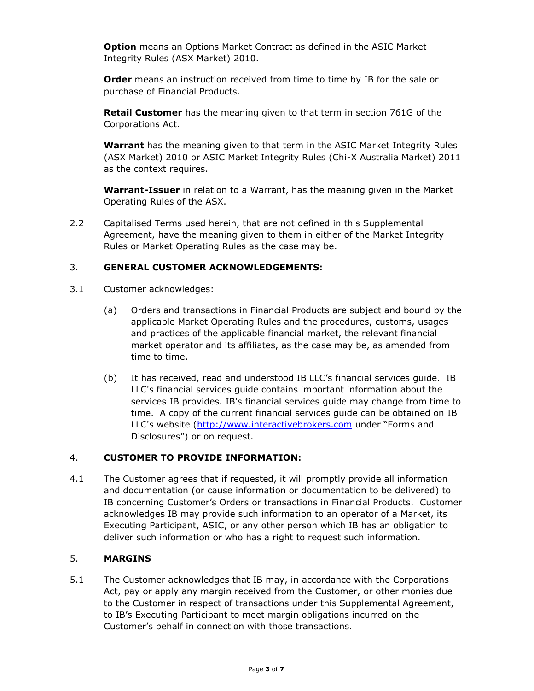**Option** means an Options Market Contract as defined in the ASIC Market Integrity Rules (ASX Market) 2010.

**Order** means an instruction received from time to time by IB for the sale or purchase of Financial Products.

**Retail Customer** has the meaning given to that term in section 761G of the Corporations Act.

**Warrant** has the meaning given to that term in the ASIC Market Integrity Rules (ASX Market) 2010 or ASIC Market Integrity Rules (Chi-X Australia Market) 2011 as the context requires.

**Warrant-Issuer** in relation to a Warrant, has the meaning given in the Market Operating Rules of the ASX.

2.2 Capitalised Terms used herein, that are not defined in this Supplemental Agreement, have the meaning given to them in either of the Market Integrity Rules or Market Operating Rules as the case may be.

### 3. **GENERAL CUSTOMER ACKNOWLEDGEMENTS:**

- 3.1 Customer acknowledges:
	- (a) Orders and transactions in Financial Products are subject and bound by the applicable Market Operating Rules and the procedures, customs, usages and practices of the applicable financial market, the relevant financial market operator and its affiliates, as the case may be, as amended from time to time.
	- (b) It has received, read and understood IB LLC's financial services guide. IB LLC's financial services guide contains important information about the services IB provides. IB's financial services guide may change from time to time. A copy of the current financial services guide can be obtained on IB LLC's website [\(http://www.interactivebrokers.com](http://#) under "Forms and Disclosures") or on request.

## 4. **CUSTOMER TO PROVIDE INFORMATION:**

4.1 The Customer agrees that if requested, it will promptly provide all information and documentation (or cause information or documentation to be delivered) to IB concerning Customer's Orders or transactions in Financial Products. Customer acknowledges IB may provide such information to an operator of a Market, its Executing Participant, ASIC, or any other person which IB has an obligation to deliver such information or who has a right to request such information.

#### 5. **MARGINS**

5.1 The Customer acknowledges that IB may, in accordance with the Corporations Act, pay or apply any margin received from the Customer, or other monies due to the Customer in respect of transactions under this Supplemental Agreement, to IB's Executing Participant to meet margin obligations incurred on the Customer's behalf in connection with those transactions.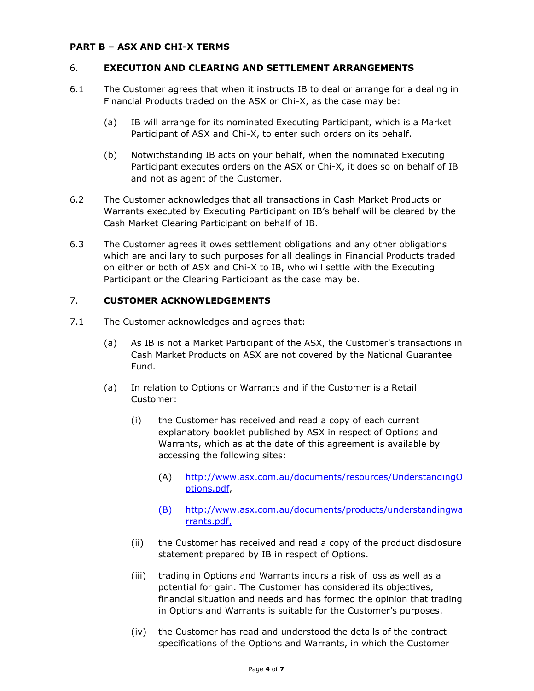#### **PART B – ASX AND CHI-X TERMS**

### 6. **EXECUTION AND CLEARING AND SETTLEMENT ARRANGEMENTS**

- 6.1 The Customer agrees that when it instructs IB to deal or arrange for a dealing in Financial Products traded on the ASX or Chi-X, as the case may be:
	- (a) IB will arrange for its nominated Executing Participant, which is a Market Participant of ASX and Chi-X, to enter such orders on its behalf.
	- (b) Notwithstanding IB acts on your behalf, when the nominated Executing Participant executes orders on the ASX or Chi-X, it does so on behalf of IB and not as agent of the Customer.
- 6.2 The Customer acknowledges that all transactions in Cash Market Products or Warrants executed by Executing Participant on IB's behalf will be cleared by the Cash Market Clearing Participant on behalf of IB.
- 6.3 The Customer agrees it owes settlement obligations and any other obligations which are ancillary to such purposes for all dealings in Financial Products traded on either or both of ASX and Chi-X to IB, who will settle with the Executing Participant or the Clearing Participant as the case may be.

## 7. **CUSTOMER ACKNOWLEDGEMENTS**

- 7.1 The Customer acknowledges and agrees that:
	- (a) As IB is not a Market Participant of the ASX, the Customer's transactions in Cash Market Products on ASX are not covered by the National Guarantee Fund.
	- (a) In relation to Options or Warrants and if the Customer is a Retail Customer:
		- (i) the Customer has received and read a copy of each current explanatory booklet published by ASX in respect of Options and Warrants, which as at the date of this agreement is available by accessing the following sites:
			- (A) [http://www.asx.com.au/documents/resources/UnderstandingO](http://#) [ptions.pdf,](http://#)
			- (B) [http://www.asx.com.au/documents/products/understandingwa](http://#) [rrants.pdf,](http://#)
		- (ii) the Customer has received and read a copy of the product disclosure statement prepared by IB in respect of Options.
		- (iii) trading in Options and Warrants incurs a risk of loss as well as a potential for gain. The Customer has considered its objectives, financial situation and needs and has formed the opinion that trading in Options and Warrants is suitable for the Customer's purposes.
		- (iv) the Customer has read and understood the details of the contract specifications of the Options and Warrants, in which the Customer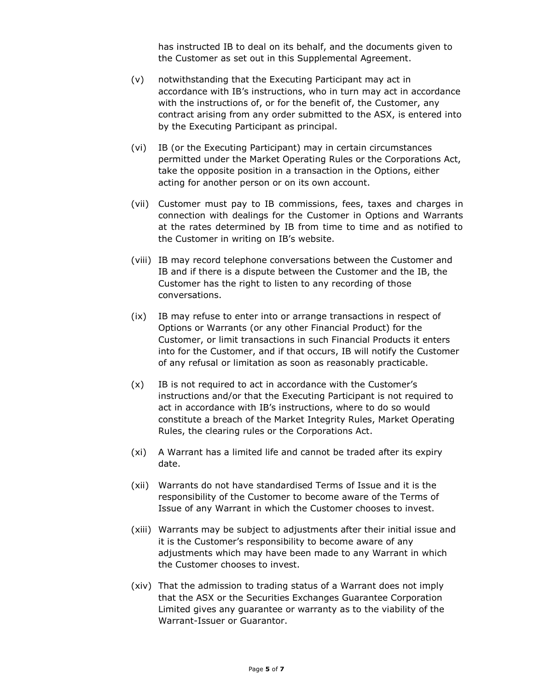has instructed IB to deal on its behalf, and the documents given to the Customer as set out in this Supplemental Agreement.

- (v) notwithstanding that the Executing Participant may act in accordance with IB's instructions, who in turn may act in accordance with the instructions of, or for the benefit of, the Customer, any contract arising from any order submitted to the ASX, is entered into by the Executing Participant as principal.
- (vi) IB (or the Executing Participant) may in certain circumstances permitted under the Market Operating Rules or the Corporations Act, take the opposite position in a transaction in the Options, either acting for another person or on its own account.
- (vii) Customer must pay to IB commissions, fees, taxes and charges in connection with dealings for the Customer in Options and Warrants at the rates determined by IB from time to time and as notified to the Customer in writing on IB's website.
- (viii) IB may record telephone conversations between the Customer and IB and if there is a dispute between the Customer and the IB, the Customer has the right to listen to any recording of those conversations.
- (ix) IB may refuse to enter into or arrange transactions in respect of Options or Warrants (or any other Financial Product) for the Customer, or limit transactions in such Financial Products it enters into for the Customer, and if that occurs, IB will notify the Customer of any refusal or limitation as soon as reasonably practicable.
- (x) IB is not required to act in accordance with the Customer's instructions and/or that the Executing Participant is not required to act in accordance with IB's instructions, where to do so would constitute a breach of the Market Integrity Rules, Market Operating Rules, the clearing rules or the Corporations Act.
- (xi) A Warrant has a limited life and cannot be traded after its expiry date.
- (xii) Warrants do not have standardised Terms of Issue and it is the responsibility of the Customer to become aware of the Terms of Issue of any Warrant in which the Customer chooses to invest.
- (xiii) Warrants may be subject to adjustments after their initial issue and it is the Customer's responsibility to become aware of any adjustments which may have been made to any Warrant in which the Customer chooses to invest.
- (xiv) That the admission to trading status of a Warrant does not imply that the ASX or the Securities Exchanges Guarantee Corporation Limited gives any guarantee or warranty as to the viability of the Warrant-Issuer or Guarantor.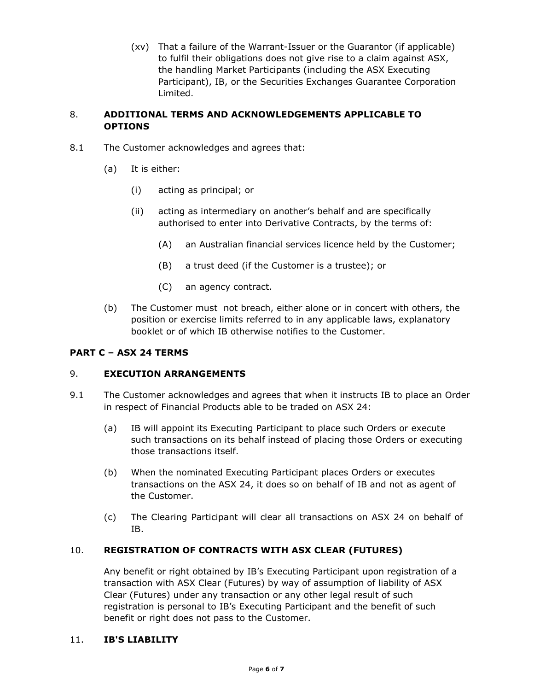(xv) That a failure of the Warrant-Issuer or the Guarantor (if applicable) to fulfil their obligations does not give rise to a claim against ASX, the handling Market Participants (including the ASX Executing Participant), IB, or the Securities Exchanges Guarantee Corporation Limited.

### 8. **ADDITIONAL TERMS AND ACKNOWLEDGEMENTS APPLICABLE TO OPTIONS**

- 8.1 The Customer acknowledges and agrees that:
	- (a) It is either:
		- (i) acting as principal; or
		- (ii) acting as intermediary on another's behalf and are specifically authorised to enter into Derivative Contracts, by the terms of:
			- (A) an Australian financial services licence held by the Customer;
			- (B) a trust deed (if the Customer is a trustee); or
			- (C) an agency contract.
	- (b) The Customer must not breach, either alone or in concert with others, the position or exercise limits referred to in any applicable laws, explanatory booklet or of which IB otherwise notifies to the Customer.

## **PART C – ASX 24 TERMS**

#### 9. **EXECUTION ARRANGEMENTS**

- 9.1 The Customer acknowledges and agrees that when it instructs IB to place an Order in respect of Financial Products able to be traded on ASX 24:
	- (a) IB will appoint its Executing Participant to place such Orders or execute such transactions on its behalf instead of placing those Orders or executing those transactions itself.
	- (b) When the nominated Executing Participant places Orders or executes transactions on the ASX 24, it does so on behalf of IB and not as agent of the Customer.
	- (c) The Clearing Participant will clear all transactions on ASX 24 on behalf of IB.

#### 10. **REGISTRATION OF CONTRACTS WITH ASX CLEAR (FUTURES)**

Any benefit or right obtained by IB's Executing Participant upon registration of a transaction with ASX Clear (Futures) by way of assumption of liability of ASX Clear (Futures) under any transaction or any other legal result of such registration is personal to IB's Executing Participant and the benefit of such benefit or right does not pass to the Customer.

### 11. **IB'S LIABILITY**